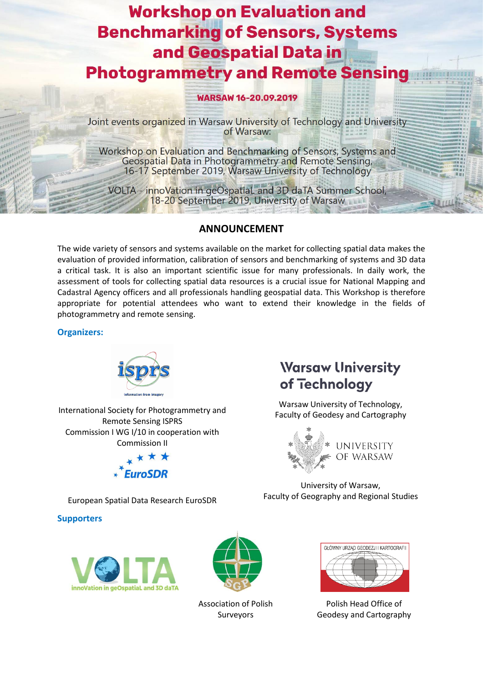

# **ANNOUNCEMENT**

The wide variety of sensors and systems available on the market for collecting spatial data makes the evaluation of provided information, calibration of sensors and benchmarking of systems and 3D data a critical task. It is also an important scientific issue for many professionals. In daily work, the assessment of tools for collecting spatial data resources is a crucial issue for National Mapping and Cadastral Agency officers and all professionals handling geospatial data. This Workshop is therefore appropriate for potential attendees who want to extend their knowledge in the fields of photogrammetry and remote sensing.

# **Organizers:**



International Society for Photogrammetry and Remote Sensing ISPRS Commission I WG I/10 in cooperation with Commission II



# **Warsaw University** of Technology

Warsaw University of Technology, Faculty of Geodesy and Cartography



University of Warsaw, Faculty of Geography and Regional Studies

European Spatial Data Research EuroSDR

**Supporters**





Association of Polish **Surveyors** 



Polish Head Office of Geodesy and Cartography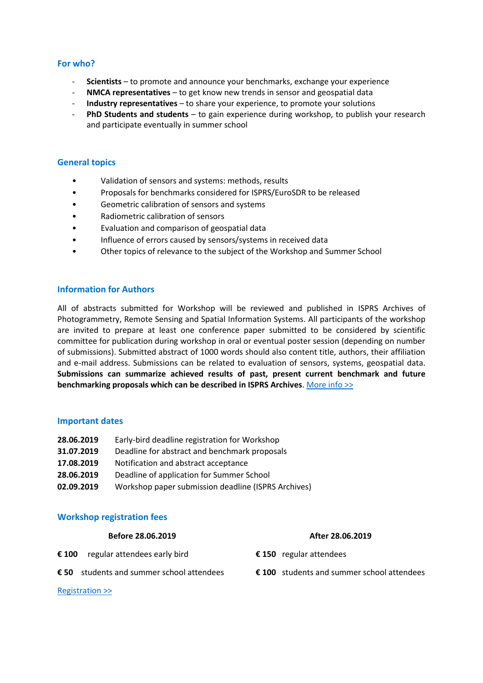# **For who?**

- **Scientists** to promote and announce your benchmarks, exchange your experience
- **NMCA representatives** to get know new trends in sensor and geospatial data
- **Industry representatives**  to share your experience, to promote your solutions
- **PhD Students and students** to gain experience during workshop, to publish your research and participate eventually in summer school

# **General topics**

- Validation of sensors and systems: methods, results
- Proposals for benchmarks considered for ISPRS/EuroSDR to be released
- Geometric calibration of sensors and systems
- Radiometric calibration of sensors
- Evaluation and comparison of geospatial data
- Influence of errors caused by sensors/systems in received data
- Other topics of relevance to the subject of the Workshop and Summer School

### **Information for Authors**

All of abstracts submitted for Workshop will be reviewed and published in ISPRS Archives of Photogrammetry, Remote Sensing and Spatial Information Systems. All participants of the workshop are invited to prepare at least one conference paper submitted to be considered by scientific committee for publication during workshop in oral or eventual poster session (depending on number of submissions). Submitted abstract of 1000 words should also content title, authors, their affiliation and e-mail address. Submissions can be related to evaluation of sensors, systems, geospatial data. **Submissions can summarize achieved results of past, present current benchmark and future benchmarking proposals which can be described in ISPRS Archives**[. More info >>](http://ptfit.sgp.geodezja.org.pl/workshop2019/forauthors.html)

#### **Important dates**

| 28.06.2019 | Early-bird deadline registration for Workshop       |
|------------|-----------------------------------------------------|
| 31.07.2019 | Deadline for abstract and benchmark proposals       |
| 17.08.2019 | Notification and abstract acceptance                |
| 28.06.2019 | Deadline of application for Summer School           |
| 02.09.2019 | Workshop paper submission deadline (ISPRS Archives) |

# **Workshop registration fees**

|       | Before 28.06.2019                                  | After 28.06.2019                                    |
|-------|----------------------------------------------------|-----------------------------------------------------|
| € 100 | regular attendees early bird                       | € 150 regular attendees                             |
|       | $\epsilon$ 50 students and summer school attendees | $\epsilon$ 100 students and summer school attendees |
|       | <b>Registration &gt;&gt;</b>                       |                                                     |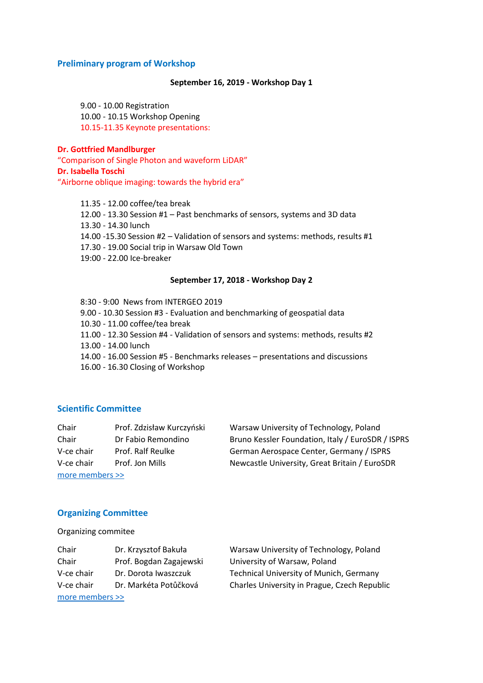#### **Preliminary program of Workshop**

#### **September 16, 2019 - Workshop Day 1**

9.00 - 10.00 Registration 10.00 - 10.15 Workshop Opening 10.15-11.35 Keynote presentations:

#### **Dr. Gottfried Mandlburger**

"Comparison of Single Photon and waveform LiDAR" **Dr. Isabella Toschi** "Airborne oblique imaging: towards the hybrid era"

> 11.35 - 12.00 coffee/tea break 12.00 - 13.30 Session #1 – Past benchmarks of sensors, systems and 3D data 13.30 - 14.30 lunch 14.00 -15.30 Session #2 – Validation of sensors and systems: methods, results #1 17.30 - 19.00 Social trip in Warsaw Old Town 19:00 - 22.00 Ice-breaker

#### **September 17, 2018 - Workshop Day 2**

8:30 - 9:00 News from INTERGEO 2019 9.00 - 10.30 Session #3 - Evaluation and benchmarking of geospatial data 10.30 - 11.00 coffee/tea break 11.00 - 12.30 Session #4 - Validation of sensors and systems: methods, results #2 13.00 - 14.00 lunch 14.00 - 16.00 Session #5 - Benchmarks releases – presentations and discussions 16.00 - 16.30 Closing of Workshop

#### **Scientific Committee**

| Chair           | Prof. Zdzisław Kurczyński |  |  |
|-----------------|---------------------------|--|--|
| Chair           | Dr Fabio Remondino        |  |  |
| V-ce chair      | Prof. Ralf Reulke         |  |  |
| V-ce chair      | Prof. Jon Mills           |  |  |
| more members >> |                           |  |  |

Warsaw University of Technology, Poland Bruno Kessler Foundation, Italy / EuroSDR / ISPRS German Aerospace Center, Germany / ISPRS Newcastle University, Great Britain / EuroSDR

#### **Organizing Committee**

Organizing commitee

| Chair           | Dr. Krzysztof Bakuła    |  |  |  |
|-----------------|-------------------------|--|--|--|
| Chair           | Prof. Bogdan Zagajewski |  |  |  |
| V-ce chair      | Dr. Dorota Iwaszczuk    |  |  |  |
| V-ce chair      | Dr. Markéta Potůčková   |  |  |  |
| more members >> |                         |  |  |  |

Warsaw University of Technology, Poland University of Warsaw, Poland Technical University of Munich, Germany Charles University in Prague, Czech Republic